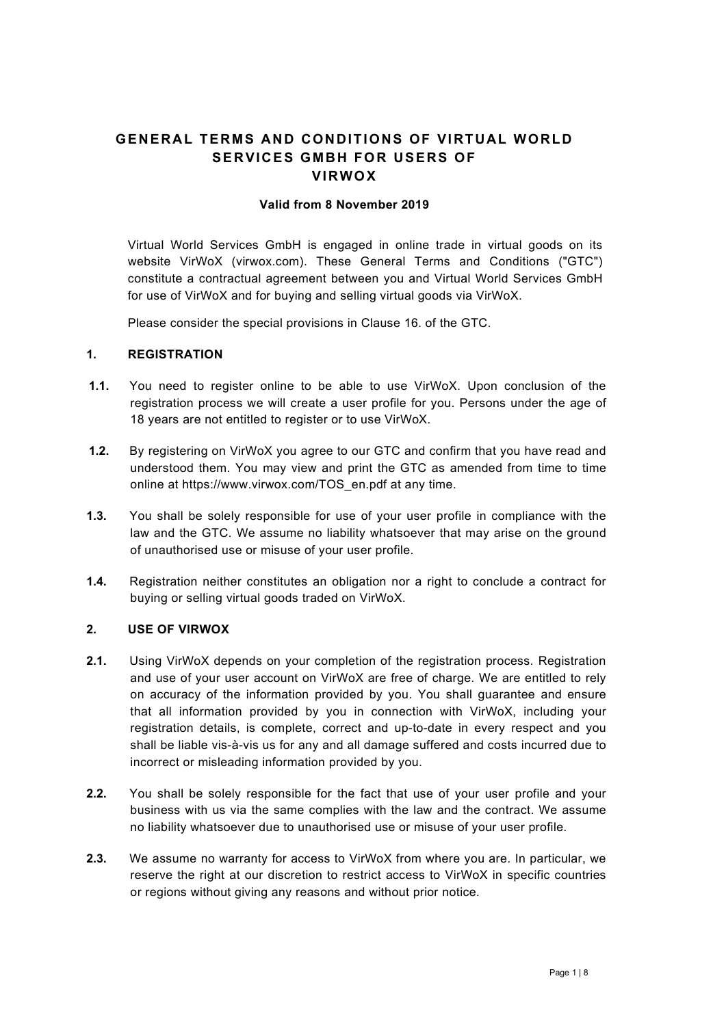# GENERAL TERMS AND CONDITIONS OF VIRTUAL WORLD SERVICES GMBH FOR USERS OF **VIRWOX**

#### Valid from 8 November 2019

Virtual World Services GmbH is engaged in online trade in virtual goods on its website VirWoX (virwox.com). These General Terms and Conditions ("GTC") constitute a contractual agreement between you and Virtual World Services GmbH for use of VirWoX and for buying and selling virtual goods via VirWoX.

Please consider the special provisions in Clause 16. of the GTC.

# 1. REGISTRATION

- 1.1. You need to register online to be able to use VirWoX. Upon conclusion of the registration process we will create a user profile for you. Persons under the age of 18 years are not entitled to register or to use VirWoX.
- 1.2. By registering on VirWoX you agree to our GTC and confirm that you have read and understood them. You may view and print the GTC as amended from time to time online at https://www.virwox.com/TOS\_en.pdf at any time.
- 1.3. You shall be solely responsible for use of your user profile in compliance with the law and the GTC. We assume no liability whatsoever that may arise on the ground of unauthorised use or misuse of your user profile.
- 1.4. Registration neither constitutes an obligation nor a right to conclude a contract for buying or selling virtual goods traded on VirWoX.

## 2. USE OF VIRWOX

- 2.1. Using VirWoX depends on your completion of the registration process. Registration and use of your user account on VirWoX are free of charge. We are entitled to rely on accuracy of the information provided by you. You shall guarantee and ensure that all information provided by you in connection with VirWoX, including your registration details, is complete, correct and up-to-date in every respect and you shall be liable vis-à-vis us for any and all damage suffered and costs incurred due to incorrect or misleading information provided by you.
- 2.2. You shall be solely responsible for the fact that use of your user profile and your business with us via the same complies with the law and the contract. We assume no liability whatsoever due to unauthorised use or misuse of your user profile.
- 2.3. We assume no warranty for access to VirWoX from where you are. In particular, we reserve the right at our discretion to restrict access to VirWoX in specific countries or regions without giving any reasons and without prior notice.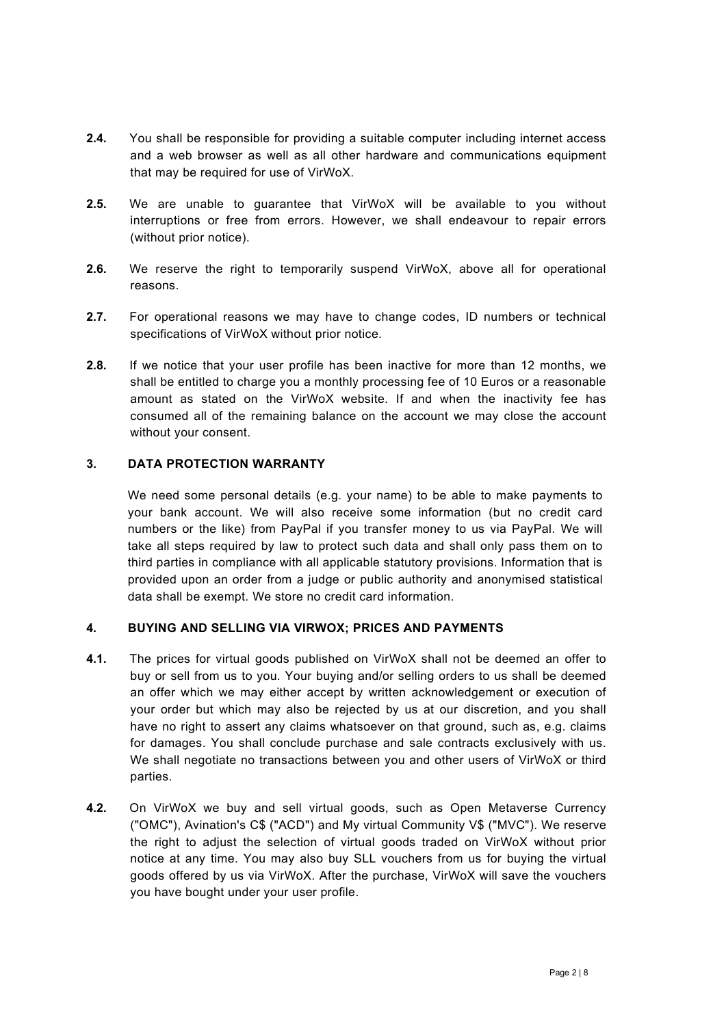- 2.4. You shall be responsible for providing a suitable computer including internet access and a web browser as well as all other hardware and communications equipment that may be required for use of VirWoX.
- 2.5. We are unable to guarantee that VirWoX will be available to you without interruptions or free from errors. However, we shall endeavour to repair errors (without prior notice).
- 2.6. We reserve the right to temporarily suspend VirWoX, above all for operational reasons.
- 2.7. For operational reasons we may have to change codes, ID numbers or technical specifications of VirWoX without prior notice.
- 2.8. If we notice that your user profile has been inactive for more than 12 months, we shall be entitled to charge you a monthly processing fee of 10 Euros or a reasonable amount as stated on the VirWoX website. If and when the inactivity fee has consumed all of the remaining balance on the account we may close the account without your consent.

# 3. DATA PROTECTION WARRANTY

We need some personal details (e.g. your name) to be able to make payments to your bank account. We will also receive some information (but no credit card numbers or the like) from PayPal if you transfer money to us via PayPal. We will take all steps required by law to protect such data and shall only pass them on to third parties in compliance with all applicable statutory provisions. Information that is provided upon an order from a judge or public authority and anonymised statistical data shall be exempt. We store no credit card information.

## 4. BUYING AND SELLING VIA VIRWOX; PRICES AND PAYMENTS

- 4.1. The prices for virtual goods published on VirWoX shall not be deemed an offer to buy or sell from us to you. Your buying and/or selling orders to us shall be deemed an offer which we may either accept by written acknowledgement or execution of your order but which may also be rejected by us at our discretion, and you shall have no right to assert any claims whatsoever on that ground, such as, e.g. claims for damages. You shall conclude purchase and sale contracts exclusively with us. We shall negotiate no transactions between you and other users of VirWoX or third parties.
- 4.2. On VirWoX we buy and sell virtual goods, such as Open Metaverse Currency ("OMC"), Avination's C\$ ("ACD") and My virtual Community V\$ ("MVC"). We reserve the right to adjust the selection of virtual goods traded on VirWoX without prior notice at any time. You may also buy SLL vouchers from us for buying the virtual goods offered by us via VirWoX. After the purchase, VirWoX will save the vouchers you have bought under your user profile.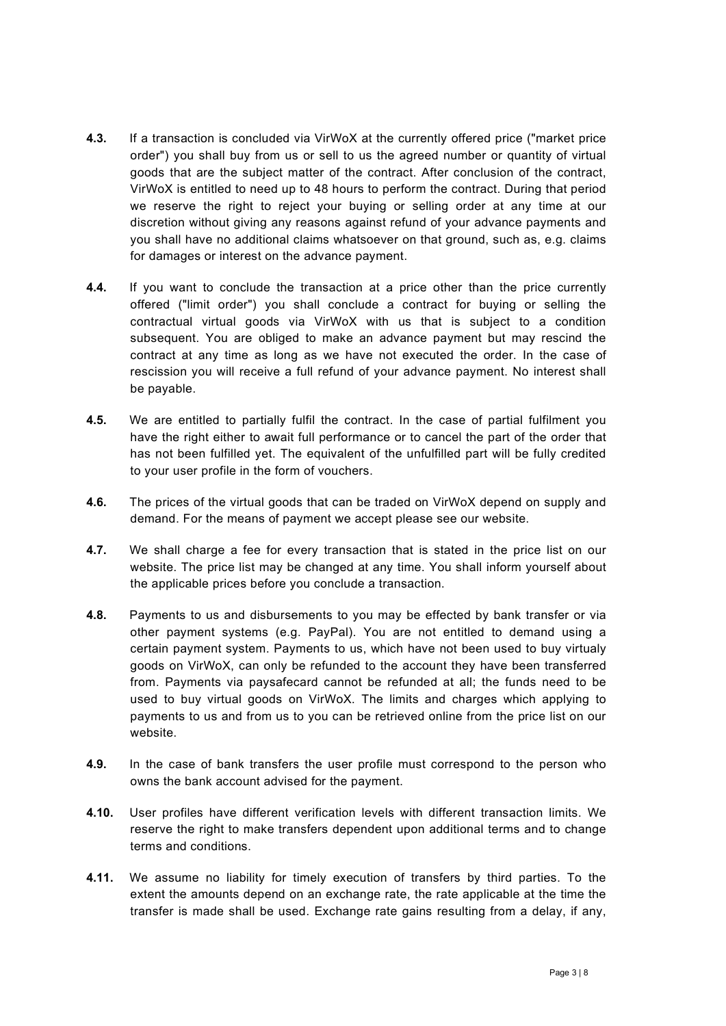- 4.3. If a transaction is concluded via VirWoX at the currently offered price ("market price order") you shall buy from us or sell to us the agreed number or quantity of virtual goods that are the subject matter of the contract. After conclusion of the contract, VirWoX is entitled to need up to 48 hours to perform the contract. During that period we reserve the right to reject your buying or selling order at any time at our discretion without giving any reasons against refund of your advance payments and you shall have no additional claims whatsoever on that ground, such as, e.g. claims for damages or interest on the advance payment.
- 4.4. If you want to conclude the transaction at a price other than the price currently offered ("limit order") you shall conclude a contract for buying or selling the contractual virtual goods via VirWoX with us that is subject to a condition subsequent. You are obliged to make an advance payment but may rescind the contract at any time as long as we have not executed the order. In the case of rescission you will receive a full refund of your advance payment. No interest shall be payable.
- 4.5. We are entitled to partially fulfil the contract. In the case of partial fulfilment you have the right either to await full performance or to cancel the part of the order that has not been fulfilled yet. The equivalent of the unfulfilled part will be fully credited to your user profile in the form of vouchers.
- 4.6. The prices of the virtual goods that can be traded on VirWoX depend on supply and demand. For the means of payment we accept please see our website.
- 4.7. We shall charge a fee for every transaction that is stated in the price list on our website. The price list may be changed at any time. You shall inform yourself about the applicable prices before you conclude a transaction.
- 4.8. Payments to us and disbursements to you may be effected by bank transfer or via other payment systems (e.g. PayPal). You are not entitled to demand using a certain payment system. Payments to us, which have not been used to buy virtualy goods on VirWoX, can only be refunded to the account they have been transferred from. Payments via paysafecard cannot be refunded at all; the funds need to be used to buy virtual goods on VirWoX. The limits and charges which applying to payments to us and from us to you can be retrieved online from the price list on our website.
- 4.9. In the case of bank transfers the user profile must correspond to the person who owns the bank account advised for the payment.
- 4.10. User profiles have different verification levels with different transaction limits. We reserve the right to make transfers dependent upon additional terms and to change terms and conditions.
- 4.11. We assume no liability for timely execution of transfers by third parties. To the extent the amounts depend on an exchange rate, the rate applicable at the time the transfer is made shall be used. Exchange rate gains resulting from a delay, if any,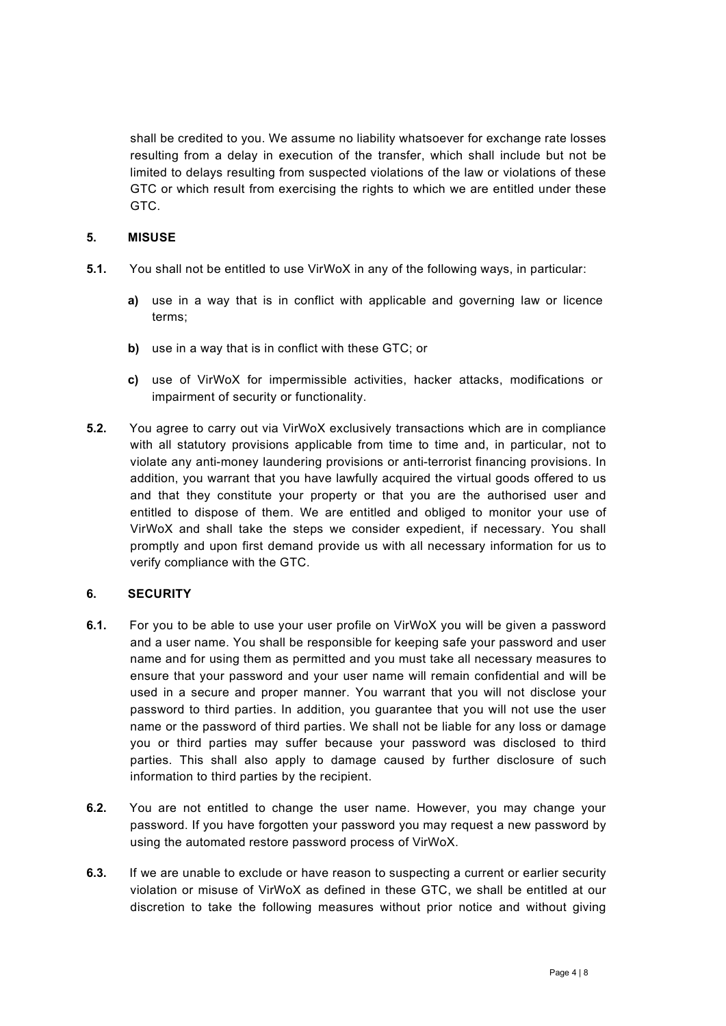shall be credited to you. We assume no liability whatsoever for exchange rate losses resulting from a delay in execution of the transfer, which shall include but not be limited to delays resulting from suspected violations of the law or violations of these GTC or which result from exercising the rights to which we are entitled under these GTC.

## 5. MISUSE

- 5.1. You shall not be entitled to use VirWoX in any of the following ways, in particular:
	- a) use in a way that is in conflict with applicable and governing law or licence terms;
	- b) use in a way that is in conflict with these GTC; or
	- c) use of VirWoX for impermissible activities, hacker attacks, modifications or impairment of security or functionality.
- 5.2. You agree to carry out via VirWoX exclusively transactions which are in compliance with all statutory provisions applicable from time to time and, in particular, not to violate any anti-money laundering provisions or anti-terrorist financing provisions. In addition, you warrant that you have lawfully acquired the virtual goods offered to us and that they constitute your property or that you are the authorised user and entitled to dispose of them. We are entitled and obliged to monitor your use of VirWoX and shall take the steps we consider expedient, if necessary. You shall promptly and upon first demand provide us with all necessary information for us to verify compliance with the GTC.

# 6. SECURITY

- 6.1. For you to be able to use your user profile on VirWoX you will be given a password and a user name. You shall be responsible for keeping safe your password and user name and for using them as permitted and you must take all necessary measures to ensure that your password and your user name will remain confidential and will be used in a secure and proper manner. You warrant that you will not disclose your password to third parties. In addition, you guarantee that you will not use the user name or the password of third parties. We shall not be liable for any loss or damage you or third parties may suffer because your password was disclosed to third parties. This shall also apply to damage caused by further disclosure of such information to third parties by the recipient.
- 6.2. You are not entitled to change the user name. However, you may change your password. If you have forgotten your password you may request a new password by using the automated restore password process of VirWoX.
- 6.3. If we are unable to exclude or have reason to suspecting a current or earlier security violation or misuse of VirWoX as defined in these GTC, we shall be entitled at our discretion to take the following measures without prior notice and without giving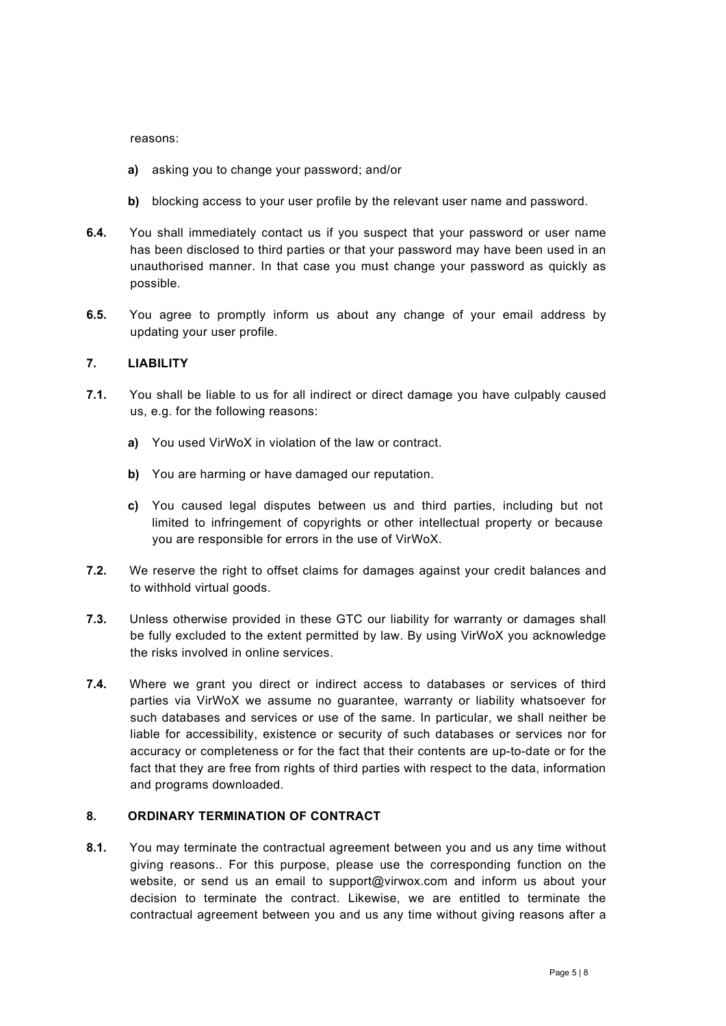reasons:

- a) asking you to change your password; and/or
- b) blocking access to your user profile by the relevant user name and password.
- 6.4. You shall immediately contact us if you suspect that your password or user name has been disclosed to third parties or that your password may have been used in an unauthorised manner. In that case you must change your password as quickly as possible.
- 6.5. You agree to promptly inform us about any change of your email address by updating your user profile.

# 7. LIABILITY

- 7.1. You shall be liable to us for all indirect or direct damage you have culpably caused us, e.g. for the following reasons:
	- a) You used VirWoX in violation of the law or contract.
	- b) You are harming or have damaged our reputation.
	- c) You caused legal disputes between us and third parties, including but not limited to infringement of copyrights or other intellectual property or because you are responsible for errors in the use of VirWoX.
- 7.2. We reserve the right to offset claims for damages against your credit balances and to withhold virtual goods.
- 7.3. Unless otherwise provided in these GTC our liability for warranty or damages shall be fully excluded to the extent permitted by law. By using VirWoX you acknowledge the risks involved in online services.
- 7.4. Where we grant you direct or indirect access to databases or services of third parties via VirWoX we assume no guarantee, warranty or liability whatsoever for such databases and services or use of the same. In particular, we shall neither be liable for accessibility, existence or security of such databases or services nor for accuracy or completeness or for the fact that their contents are up-to-date or for the fact that they are free from rights of third parties with respect to the data, information and programs downloaded.

## 8. ORDINARY TERMINATION OF CONTRACT

8.1. You may terminate the contractual agreement between you and us any time without giving reasons.. For this purpose, please use the corresponding function on the website, or send us an email to support@virwox.com and inform us about your decision to terminate the contract. Likewise, we are entitled to terminate the contractual agreement between you and us any time without giving reasons after a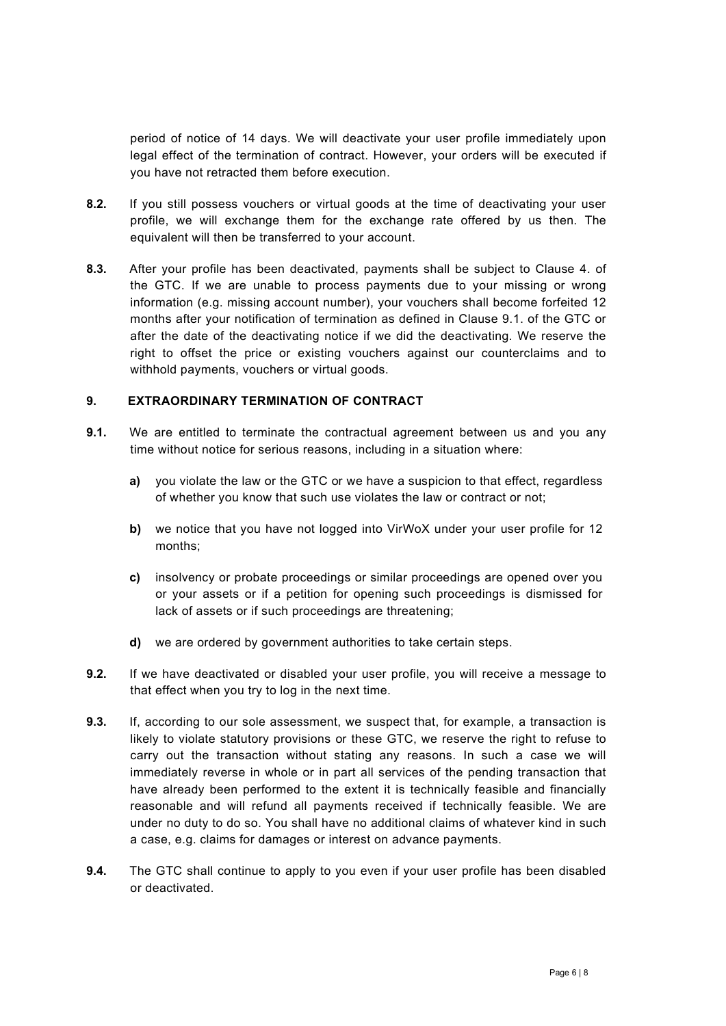period of notice of 14 days. We will deactivate your user profile immediately upon legal effect of the termination of contract. However, your orders will be executed if you have not retracted them before execution.

- 8.2. If you still possess vouchers or virtual goods at the time of deactivating your user profile, we will exchange them for the exchange rate offered by us then. The equivalent will then be transferred to your account.
- 8.3. After your profile has been deactivated, payments shall be subject to Clause 4. of the GTC. If we are unable to process payments due to your missing or wrong information (e.g. missing account number), your vouchers shall become forfeited 12 months after your notification of termination as defined in Clause 9.1. of the GTC or after the date of the deactivating notice if we did the deactivating. We reserve the right to offset the price or existing vouchers against our counterclaims and to withhold payments, vouchers or virtual goods.

## 9. EXTRAORDINARY TERMINATION OF CONTRACT

- **9.1.** We are entitled to terminate the contractual agreement between us and you any time without notice for serious reasons, including in a situation where:
	- a) you violate the law or the GTC or we have a suspicion to that effect, regardless of whether you know that such use violates the law or contract or not;
	- b) we notice that you have not logged into VirWoX under your user profile for 12 months;
	- c) insolvency or probate proceedings or similar proceedings are opened over you or your assets or if a petition for opening such proceedings is dismissed for lack of assets or if such proceedings are threatening;
	- d) we are ordered by government authorities to take certain steps.
- 9.2. If we have deactivated or disabled your user profile, you will receive a message to that effect when you try to log in the next time.
- **9.3.** If, according to our sole assessment, we suspect that, for example, a transaction is likely to violate statutory provisions or these GTC, we reserve the right to refuse to carry out the transaction without stating any reasons. In such a case we will immediately reverse in whole or in part all services of the pending transaction that have already been performed to the extent it is technically feasible and financially reasonable and will refund all payments received if technically feasible. We are under no duty to do so. You shall have no additional claims of whatever kind in such a case, e.g. claims for damages or interest on advance payments.
- **9.4.** The GTC shall continue to apply to you even if your user profile has been disabled or deactivated.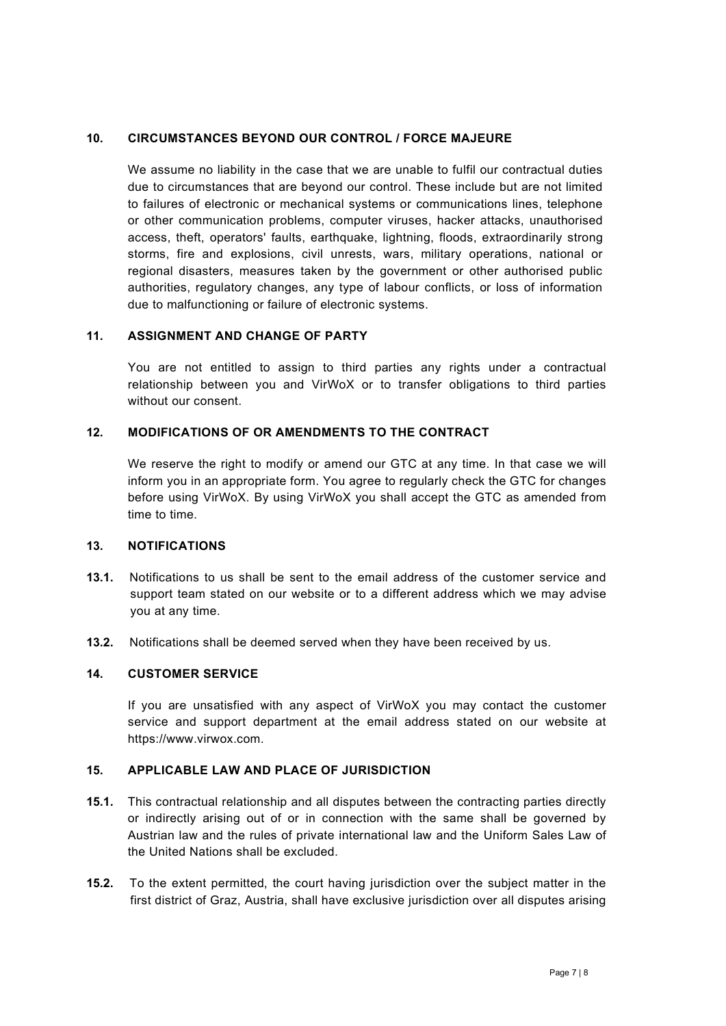#### 10. CIRCUMSTANCES BEYOND OUR CONTROL / FORCE MAJEURE

We assume no liability in the case that we are unable to fulfil our contractual duties due to circumstances that are beyond our control. These include but are not limited to failures of electronic or mechanical systems or communications lines, telephone or other communication problems, computer viruses, hacker attacks, unauthorised access, theft, operators' faults, earthquake, lightning, floods, extraordinarily strong storms, fire and explosions, civil unrests, wars, military operations, national or regional disasters, measures taken by the government or other authorised public authorities, regulatory changes, any type of labour conflicts, or loss of information due to malfunctioning or failure of electronic systems.

#### 11. ASSIGNMENT AND CHANGE OF PARTY

You are not entitled to assign to third parties any rights under a contractual relationship between you and VirWoX or to transfer obligations to third parties without our consent.

#### 12. MODIFICATIONS OF OR AMENDMENTS TO THE CONTRACT

We reserve the right to modify or amend our GTC at any time. In that case we will inform you in an appropriate form. You agree to regularly check the GTC for changes before using VirWoX. By using VirWoX you shall accept the GTC as amended from time to time.

## 13. NOTIFICATIONS

- 13.1. Notifications to us shall be sent to the email address of the customer service and support team stated on our website or to a different address which we may advise you at any time.
- 13.2. Notifications shall be deemed served when they have been received by us.

# 14. CUSTOMER SERVICE

If you are unsatisfied with any aspect of VirWoX you may contact the customer service and support department at the email address stated on our website at https://www.virwox.com.

#### 15. APPLICABLE LAW AND PLACE OF JURISDICTION

- 15.1. This contractual relationship and all disputes between the contracting parties directly or indirectly arising out of or in connection with the same shall be governed by Austrian law and the rules of private international law and the Uniform Sales Law of the United Nations shall be excluded.
- 15.2. To the extent permitted, the court having jurisdiction over the subject matter in the first district of Graz, Austria, shall have exclusive jurisdiction over all disputes arising